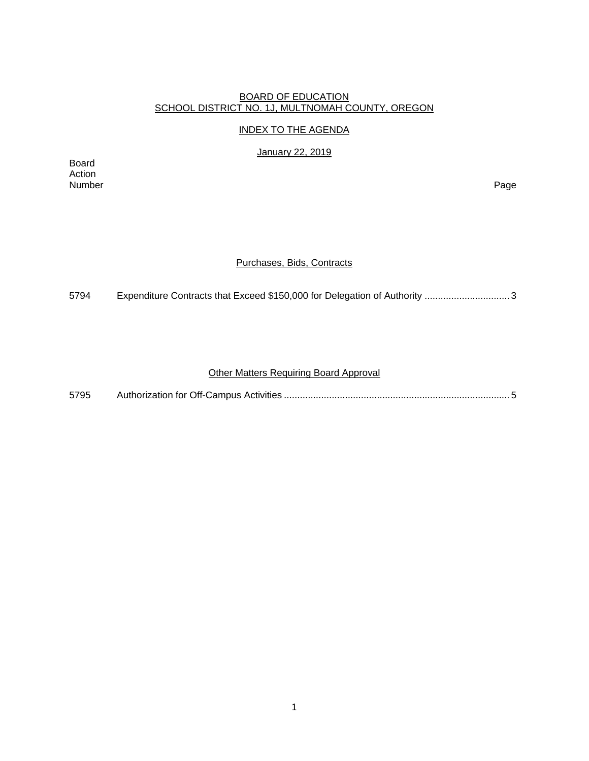#### BOARD OF EDUCATION SCHOOL DISTRICT NO. 1J, MULTNOMAH COUNTY, OREGON

#### INDEX TO THE AGENDA

January 22, 2019

Board Action<br>Number Number Page

#### Purchases, Bids, Contracts

5794 Expenditure Contracts that Exceed \$150,000 for Delegation of Authority ..................................

## Other Matters Requiring Board Approval

| 5795 |  |  |
|------|--|--|
|------|--|--|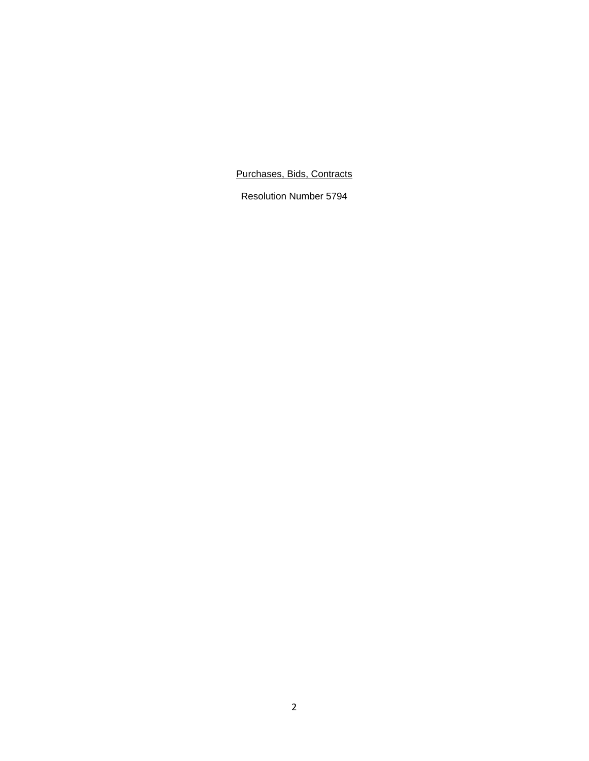Purchases, Bids, Contracts

Resolution Number 5794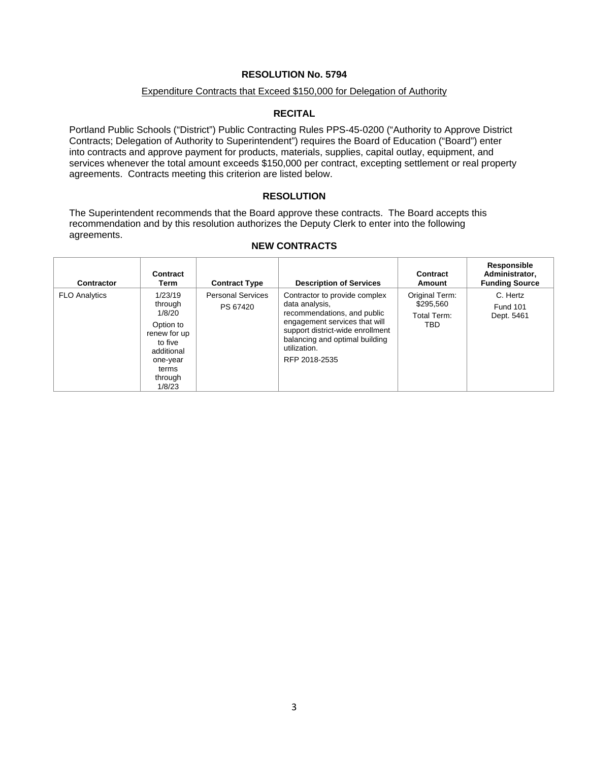### **RESOLUTION No. 5794**

#### Expenditure Contracts that Exceed \$150,000 for Delegation of Authority

## **RECITAL**

Portland Public Schools ("District") Public Contracting Rules PPS-45-0200 ("Authority to Approve District Contracts; Delegation of Authority to Superintendent") requires the Board of Education ("Board") enter into contracts and approve payment for products, materials, supplies, capital outlay, equipment, and services whenever the total amount exceeds \$150,000 per contract, excepting settlement or real property agreements. Contracts meeting this criterion are listed below.

## **RESOLUTION**

The Superintendent recommends that the Board approve these contracts. The Board accepts this recommendation and by this resolution authorizes the Deputy Clerk to enter into the following agreements.

## **NEW CONTRACTS**

| Contractor           | Contract<br>Term                                                                                                             | <b>Contract Type</b>                 | <b>Description of Services</b>                                                                                                                                                                                         | Contract<br><b>Amount</b>                         | Responsible<br>Administrator,<br><b>Funding Source</b> |
|----------------------|------------------------------------------------------------------------------------------------------------------------------|--------------------------------------|------------------------------------------------------------------------------------------------------------------------------------------------------------------------------------------------------------------------|---------------------------------------------------|--------------------------------------------------------|
| <b>FLO Analytics</b> | 1/23/19<br>through<br>1/8/20<br>Option to<br>renew for up<br>to five<br>additional<br>one-year<br>terms<br>through<br>1/8/23 | <b>Personal Services</b><br>PS 67420 | Contractor to provide complex<br>data analysis,<br>recommendations, and public<br>engagement services that will<br>support district-wide enrollment<br>balancing and optimal building<br>utilization.<br>RFP 2018-2535 | Original Term:<br>\$295.560<br>Total Term:<br>TBD | C. Hertz<br><b>Fund 101</b><br>Dept. 5461              |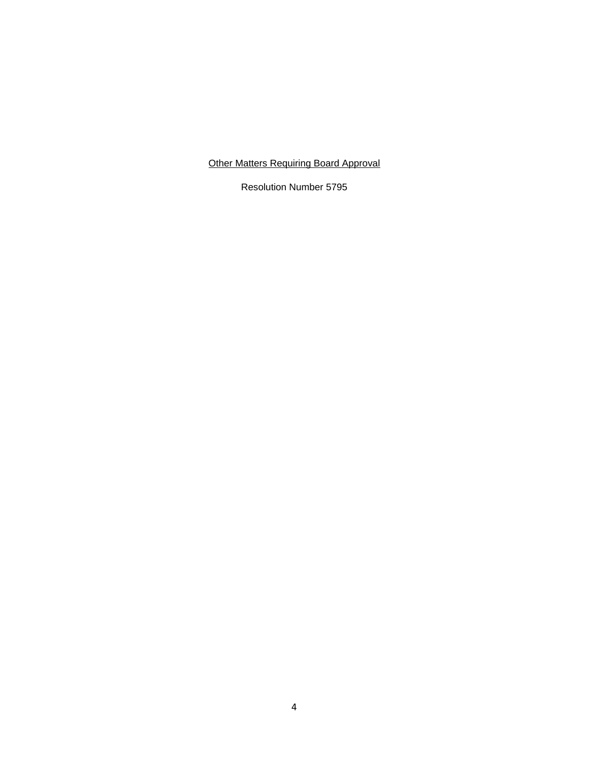# Other Matters Requiring Board Approval

Resolution Number 5795